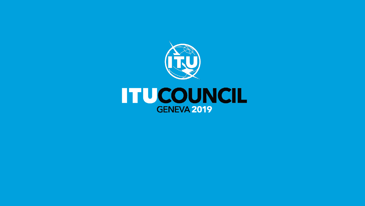

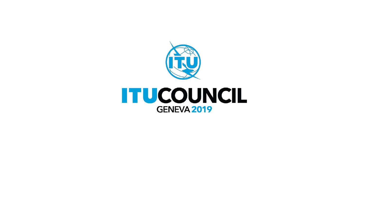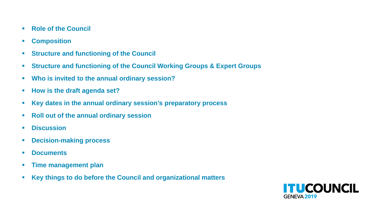- **Role of the Council**
- **Composition**
- **Structure and functioning of the Council**
- **Structure and functioning of the Council Working Groups & Expert Groups**
- **Who is invited to the annual ordinary session?**
- **How is the draft agenda set?**
- **Key dates in the annual ordinary session's preparatory process**
- **Roll out of the annual ordinary session**
- **Discussion**
- **Decision-making process**
- **Documents**
- **Time management plan**
- **Key things to do before the Council and organizational matters**

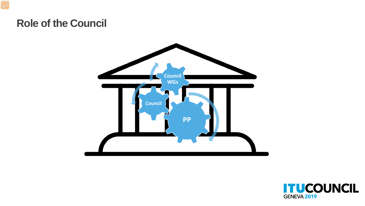#### **Role of the Council**



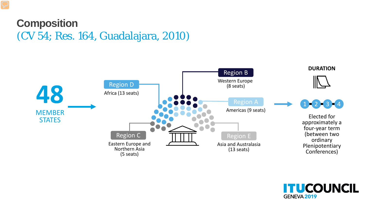#### **Composition** (CV 54; Res. 164, Guadalajara, 2010)



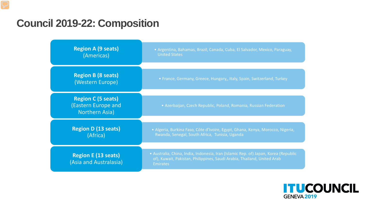#### **Council 2019-22: Composition**



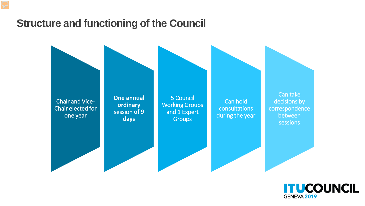#### **Structure and functioning of the Council**



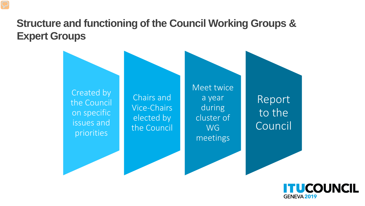## **Structure and functioning of the Council Working Groups & Expert Groups**



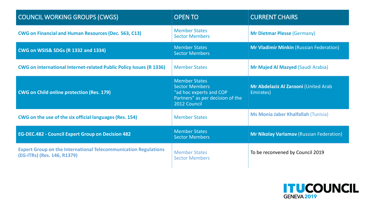| <b>COUNCIL WORKING GROUPS (CWGS)</b>                                                                  | <b>OPEN TO</b>                                                                                                               | <b>CURRENT CHAIRS</b>                             |
|-------------------------------------------------------------------------------------------------------|------------------------------------------------------------------------------------------------------------------------------|---------------------------------------------------|
| <b>CWG on Financial and Human Resources (Dec. 563, C13)</b>                                           | <b>Member States</b><br><b>Sector Members</b>                                                                                | <b>Mr Dietmar Plesse (Germany)</b>                |
| <b>CWG on WSIS&amp; SDGs (R 1332 and 1334)</b>                                                        | <b>Member States</b><br><b>Sector Members</b>                                                                                | <b>Mr Vladimir Minkin (Russian Federation)</b>    |
| <b>CWG on international Internet-related Public Policy Issues (R 1336)</b>                            | <b>Member States</b>                                                                                                         | <b>Mr Majed Al Mazyed (Saudi Arabia)</b>          |
| <b>CWG on Child online protection (Res. 179)</b>                                                      | <b>Member States</b><br><b>Sector Members</b><br>"ad hoc experts and COP<br>Partners" as per decision of the<br>2012 Council | Mr Abdelaziz Al Zarooni (United Arab<br>Emirates) |
| CWG on the use of the six official languages (Res. 154)                                               | <b>Member States</b>                                                                                                         | <b>Ms Monia Jaber Khalfallah (Tunisia)</b>        |
| <b>EG-DEC.482 - Council Expert Group on Decision 482</b>                                              | <b>Member States</b><br><b>Sector Members</b>                                                                                | <b>Mr Nikolay Varlamov (Russian Federation)</b>   |
| <b>Expert Group on the International Telecommunication Regulations</b><br>(EG-ITRs) (Res. 146, R1379) | <b>Member States</b><br><b>Sector Members</b>                                                                                | To be reconvened by Council 2019                  |

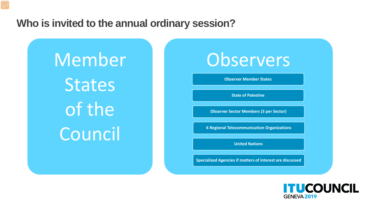#### **Who is invited to the annual ordinary session?**

Member **States** of the Council

# **Observers**

**Observer Member States**

**State of Palestine**

**Observer Sector Members (3 per Sector)**

**6 Regional Telecommunication Organizations**

**United Nations**

**Specialized Agencies if matters of interest are discussed**

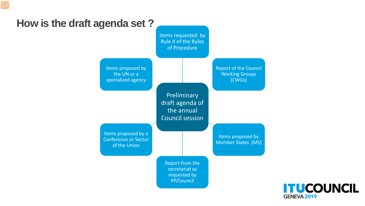

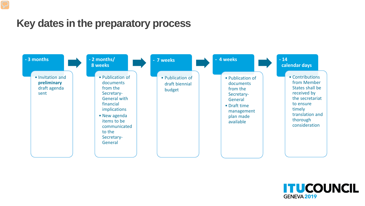#### **Key dates in the preparatory process**



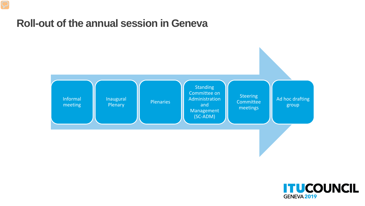#### **Roll-out of the annual session in Geneva**



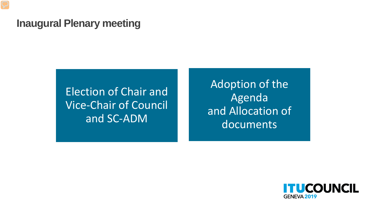#### **Inaugural Plenary meeting**

Election of Chair and Vice-Chair of Council and SC-ADM

Adoption of the Agenda and Allocation of documents

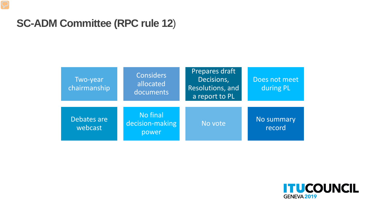#### **SC-ADM Committee (RPC rule 12**)

| Two-year<br>chairmanship | <b>Considers</b><br>allocated<br>documents | Prepares draft<br>Decisions,<br>Resolutions, and<br>a report to PL | Does not meet<br>during PL |
|--------------------------|--------------------------------------------|--------------------------------------------------------------------|----------------------------|
| Debates are<br>webcast   | No final<br>decision-making<br>power       | No vote                                                            | No summary<br>record       |

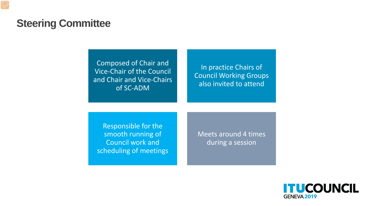#### **Steering Committee**

Composed of Chair and Vice-Chair of the Council and Chair and Vice-Chairs of SC-ADM

In practice Chairs of Council Working Groups also invited to attend

Responsible for the smooth running of Council work and scheduling of meetings

Meets around 4 times during a session

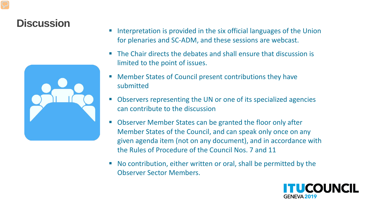#### **Discussion**



- Interpretation is provided in the six official languages of the Union for plenaries and SC-ADM, and these sessions are webcast.
- The Chair directs the debates and shall ensure that discussion is limited to the point of issues.
- Member States of Council present contributions they have submitted
- Observers representing the UN or one of its specialized agencies can contribute to the discussion
- Observer Member States can be granted the floor only after Member States of the Council, and can speak only once on any given agenda item (not on any document), and in accordance with the Rules of Procedure of the Council Nos. 7 and 11
- No contribution, either written or oral, shall be permitted by the Observer Sector Members.

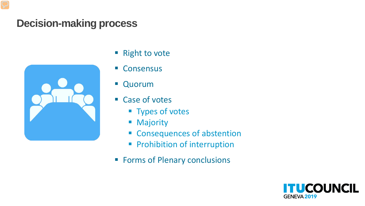#### **Decision-making process**



- Right to vote
- Consensus
- **Quorum**
- Case of votes
	- **Types of votes**
	- **Majority**
	- **Exercise Consequences of abstention**
	- **Prohibition of interruption**
- **Forms of Plenary conclusions**

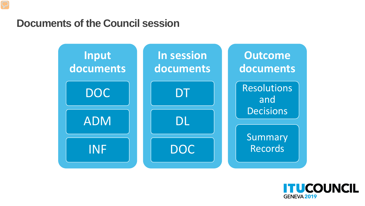#### **Documents of the Council session**



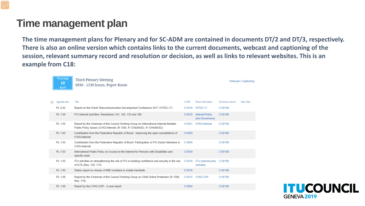#### **Time management plan**

**The time management plans for Plenary and for SC-ADM are contained in documents DT/2 and DT/3, respectively. There is also an online version which contains links to the current documents, webcast and captioning of the session, relevant summary record and resolution or decision, as well as links to relevant websites. This is an example from C18:**

| Thursday<br>19<br>April | Third Plenary Meeting<br>0930 - 1230 hours, Popov Room                                                                                                          |                     |                                          |                | Webcast / Captioning |
|-------------------------|-----------------------------------------------------------------------------------------------------------------------------------------------------------------|---------------------|------------------------------------------|----------------|----------------------|
| Agenda item             | Title                                                                                                                                                           | C18#                | More information                         | Summary record | Res./Dec.            |
| PL 2.02                 | Report on the World Telecommunication Development Conference 2017 (WTDC-17)                                                                                     | C18/10              | WTDC-17                                  | C18/106        |                      |
| PL 1.04                 | ITU Internet activities: Resolutions 101, 102, 133 and 180                                                                                                      | C <sub>18</sub> /33 | <b>Internet Policy</b><br>and Governance | C18/106        |                      |
| PL 1.03                 | Report by the Chairman of the Council Working Group on International Internet-Related<br>Public Policy Issues (CWG-Internet) (R 1305, R 1336(MOD), R 1344(MOD)) | C18/51              | <b>CWG-Internet</b>                      | C18/106        |                      |
| PL 1.03                 | Contribution from the Federative Republic of Brazil: Improving the open consultations of<br><b>CWG-Internet</b>                                                 | C18/93              |                                          | C18/106        |                      |
| PL 1.03                 | Contribution from the Federative Republic of Brazil: Participation of ITU Sector Members in<br><b>CWG-Internet</b>                                              | C18/94              |                                          | C18/106        |                      |
| PL 1.03                 | International Public Policy on Access to the Internet for Persons with Disabilities and<br>specific need                                                        | C18/54              |                                          | C18/106        |                      |
| PL 1.05                 | ITU activities on strengthening the role of ITU in building confidence and security in the use<br>of ICTs (Res. 130, 174)                                       | C18/18              | <b>ITU</b> cybersecurity<br>activities   | C18/106        |                      |
| PL 1.05                 | Status report on misuse of IMEI numbers in mobile handsets                                                                                                      | C18/76              |                                          | C18/106        |                      |
| PL 1.06                 | Report by the Chairman of the Council Working Group on Child Online Protection (R 1306,<br>Res. 179)                                                            | C18/15              | CWG-COP                                  | C18/106        |                      |
| PL 1.06                 | Report by the CWG-COP - 4 year-report                                                                                                                           | C18/62              |                                          | C18/106        |                      |

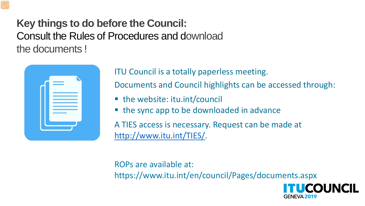**Key things to do before the Council:**  Consult the Rules of Procedures and download the documents !



ITU Council is a totally paperless meeting.

Documents and Council highlights can be accessed through:

- the website: itu.int/council
- the sync app to be downloaded in advance

A TIES access is necessary. Request can be made at [http://www.itu.int/TIES/.](http://www.itu.int/TIES/)

ROPs are available at: https://www.itu.int/en/council/Pages/documents.aspx

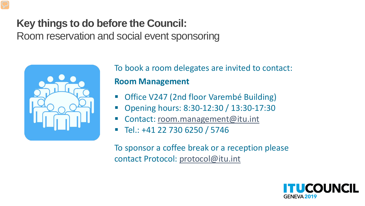#### **Key things to do before the Council:**

Room reservation and social event sponsoring



To book a room delegates are invited to contact: **Room Management**

- Office V247 (2nd floor Varembé Building)
- Opening hours: 8:30-12:30 / 13:30-17:30
- Contact: room.management@itu.int
- Tel.: +41 22 730 6250 / 5746

To sponsor a coffee break or a reception please contact Protocol: protocol@itu.int

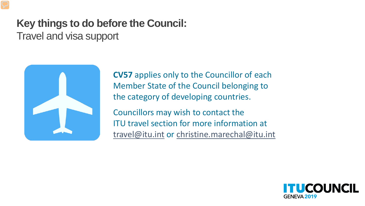# **Key things to do before the Council:**

Travel and visa support



**CV57** applies only to the Councillor of each Member State of the Council belonging to the category of developing countries.

Councillors may wish to contact the ITU travel section for more information at travel@itu.int or christine.marechal@itu.int

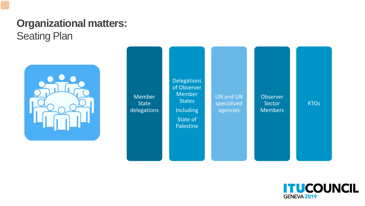## **Organizational matters:**  Seating Plan



Member **State** delegations **Delegations** of Observer Member **States** Including State of Palestine **Observer** Sector **Members** RTOs UN and UN specialized agencies

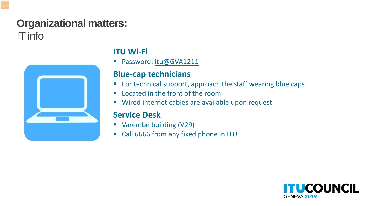## **Organizational matters:** IT info



#### **ITU Wi-Fi**

Password: itu@GVA1211

#### **Blue-cap technicians**

- **For technical support, approach the staff wearing blue caps**
- **E** Located in the front of the room
- **Wired internet cables are available upon request**

#### **Service Desk**

- Varembé building (V29)
- Call 6666 from any fixed phone in ITU

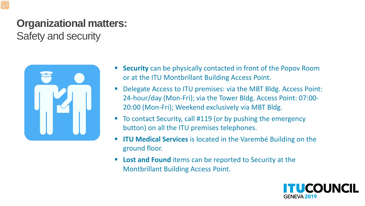# **Organizational matters:**

Safety and security



- **Security** can be physically contacted in front of the Popov Room or at the ITU Montbrillant Building Access Point.
- Delegate Access to ITU premises: via the MBT Bldg. Access Point: 24-hour/day (Mon-Fri); via the Tower Bldg. Access Point: 07:00- 20:00 (Mon-Fri); Weekend exclusively via MBT Bldg.
- To contact Security, call #119 (or by pushing the emergency button) on all the ITU premises telephones.
- **ITU Medical Services** is located in the Varembé Building on the ground floor.
- **Lost and Found** items can be reported to Security at the Montbrillant Building Access Point.